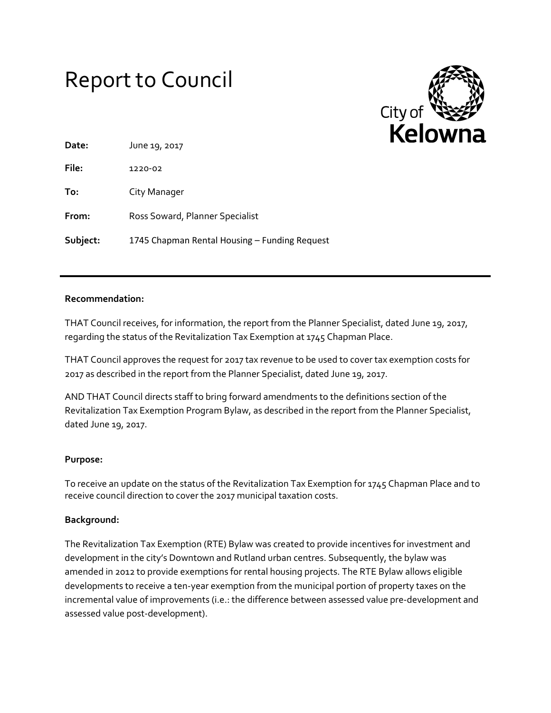# Report to Council



| Date:    | June 19, 2017                                 |
|----------|-----------------------------------------------|
| File:    | 1220-02                                       |
| To:      | City Manager                                  |
| From:    | Ross Soward, Planner Specialist               |
| Subject: | 1745 Chapman Rental Housing – Funding Request |

## **Recommendation:**

THAT Council receives, for information, the report from the Planner Specialist, dated June 19, 2017, regarding the status of the Revitalization Tax Exemption at 1745 Chapman Place.

THAT Council approves the request for 2017 tax revenue to be used to cover tax exemption costs for 2017 as described in the report from the Planner Specialist, dated June 19, 2017.

AND THAT Council directs staff to bring forward amendments to the definitions section of the Revitalization Tax Exemption Program Bylaw, as described in the report from the Planner Specialist, dated June 19, 2017.

## **Purpose:**

To receive an update on the status of the Revitalization Tax Exemption for 1745 Chapman Place and to receive council direction to cover the 2017 municipal taxation costs.

## **Background:**

The Revitalization Tax Exemption (RTE) Bylaw was created to provide incentives for investment and development in the city's Downtown and Rutland urban centres. Subsequently, the bylaw was amended in 2012 to provide exemptions for rental housing projects. The RTE Bylaw allows eligible developments to receive a ten-year exemption from the municipal portion of property taxes on the incremental value of improvements (i.e.: the difference between assessed value pre-development and assessed value post-development).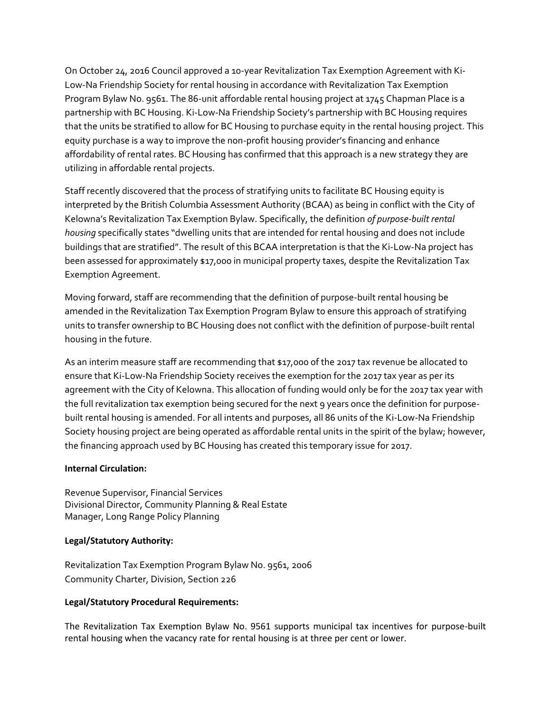On October 24, 2016 Council approved a 10-year Revitalization Tax Exemption Agreement with Ki-Low-Na Friendship Society for rental housing in accordance with Revitalization Tax Exemption Program Bylaw No. 9561. The 86-unit affordable rental housing project at 1745 Chapman Place is a partnership with BC Housing. Ki-Low-Na Friendship Society's partnership with BC Housing requires that the units be stratified to allow for BC Housing to purchase equity in the rental housing project. This equity purchase is a way to improve the non-profit housing provider's financing and enhance affordability of rental rates. BC Housing has confirmed that this approach is a new strategy they are utilizing in affordable rental projects.

Staff recently discovered that the process of stratifying units to facilitate BC Housing equity is interpreted by the British Columbia Assessment Authority (BCAA) as being in conflict with the City of Kelowna's Revitalization Tax Exemption Bylaw. Specifically, the definition *of purpose-built rental housing* specifically states "dwelling units that are intended for rental housing and does not include buildings that are stratified". The result of this BCAA interpretation is that the Ki-Low-Na project has been assessed for approximately \$17,000 in municipal property taxes, despite the Revitalization Tax Exemption Agreement.

Moving forward, staff are recommending that the definition of purpose-built rental housing be amended in the Revitalization Tax Exemption Program Bylaw to ensure this approach of stratifying units to transfer ownership to BC Housing does not conflict with the definition of purpose-built rental housing in the future.

As an interim measure staff are recommending that \$17,000 of the 2017 tax revenue be allocated to ensure that Ki-Low-Na Friendship Society receives the exemption for the 2017 tax year as per its agreement with the City of Kelowna. This allocation of funding would only be for the 2017 tax year with the full revitalization tax exemption being secured for the next 9 years once the definition for purposebuilt rental housing is amended. For all intents and purposes, all 86 units of the Ki-Low-Na Friendship Society housing project are being operated as affordable rental units in the spirit of the bylaw; however, the financing approach used by BC Housing has created this temporary issue for 2017.

#### **Internal Circulation:**

Revenue Supervisor, Financial Services Divisional Director, Community Planning & Real Estate Manager, Long Range Policy Planning

#### **Legal/Statutory Authority:**

Revitalization Tax Exemption Program Bylaw No. 9561, 2006 Community Charter, Division, Section 226

## **Legal/Statutory Procedural Requirements:**

The Revitalization Tax Exemption Bylaw No. 9561 supports municipal tax incentives for purpose-built rental housing when the vacancy rate for rental housing is at three per cent or lower.